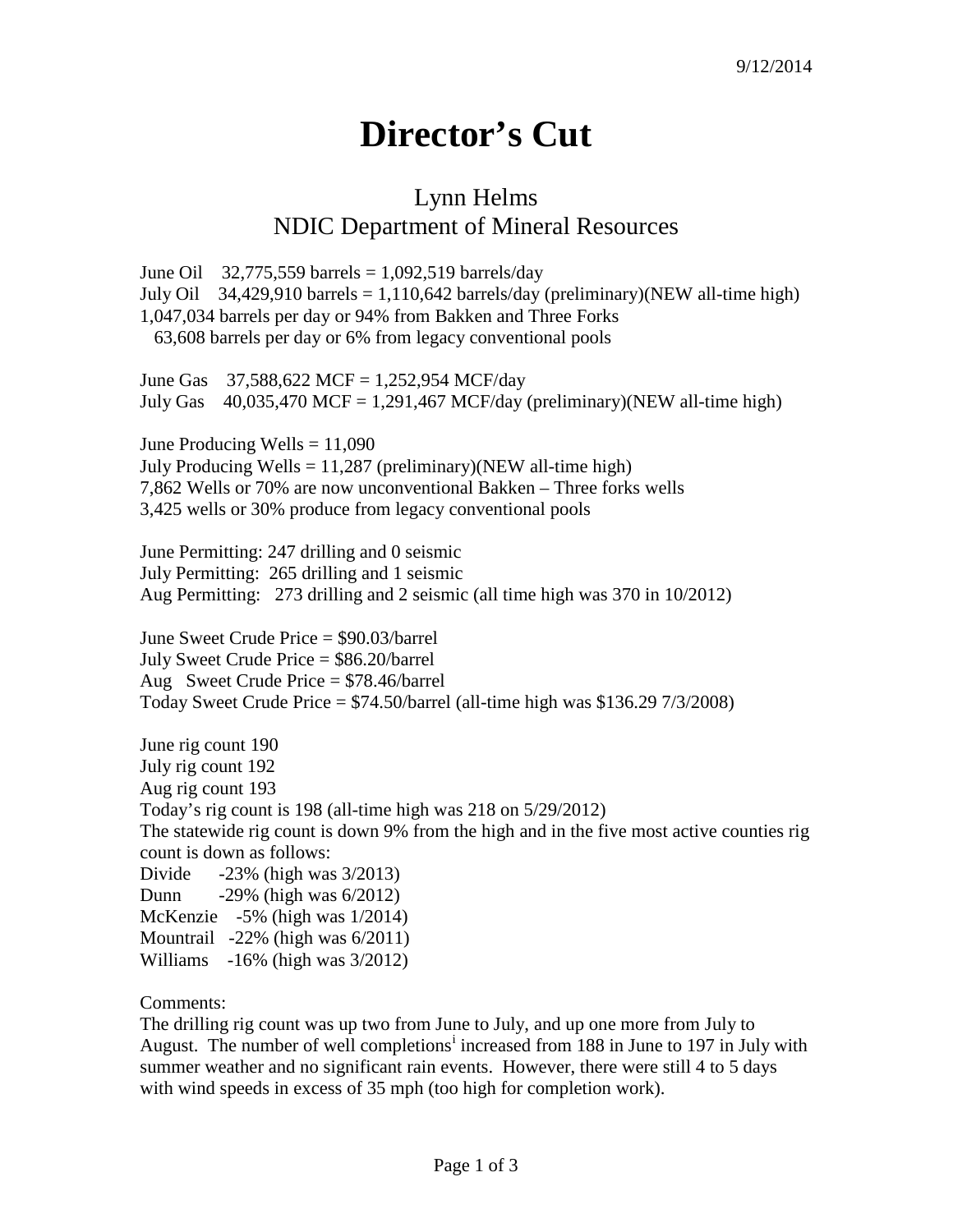## **Director's Cut**

## Lynn Helms NDIC Department of Mineral Resources

June Oil 32,775,559 barrels =  $1,092,519$  barrels/day July Oil 34,429,910 barrels = 1,110,642 barrels/day (preliminary)(NEW all-time high) 1,047,034 barrels per day or 94% from Bakken and Three Forks 63,608 barrels per day or 6% from legacy conventional pools

June Gas  $37,588,622$  MCF = 1,252,954 MCF/day July Gas  $40,035,470$  MCF = 1,291,467 MCF/day (preliminary)(NEW all-time high)

June Producing Wells  $= 11,090$ July Producing Wells  $= 11,287$  (preliminary)(NEW all-time high) 7,862 Wells or 70% are now unconventional Bakken – Three forks wells 3,425 wells or 30% produce from legacy conventional pools

June Permitting: 247 drilling and 0 seismic July Permitting: 265 drilling and 1 seismic Aug Permitting: 273 drilling and 2 seismic (all time high was 370 in 10/2012)

June Sweet Crude Price = \$90.03/barrel July Sweet Crude Price = \$86.20/barrel Aug Sweet Crude Price = \$78.46/barrel Today Sweet Crude Price  $=$  \$74.50/barrel (all-time high was \$136.29 7/3/2008)

June rig count 190 July rig count 192 Aug rig count 193 Today's rig count is 198 (all-time high was 218 on 5/29/2012) The statewide rig count is down 9% from the high and in the five most active counties rig count is down as follows: Divide -23% (high was 3/2013) Dunn -29% (high was 6/2012) McKenzie -5% (high was 1/2014) Mountrail -22% (high was 6/2011)

Williams -16% (high was 3/2012)

Comments:

The drilling rig count was up two from June to July, and up one more from July to August. The number of well complet[i](#page-2-0)ons<sup>i</sup> increased from 188 in June to 197 in July with summer weather and no significant rain events. However, there were still 4 to 5 days with wind speeds in excess of 35 mph (too high for completion work).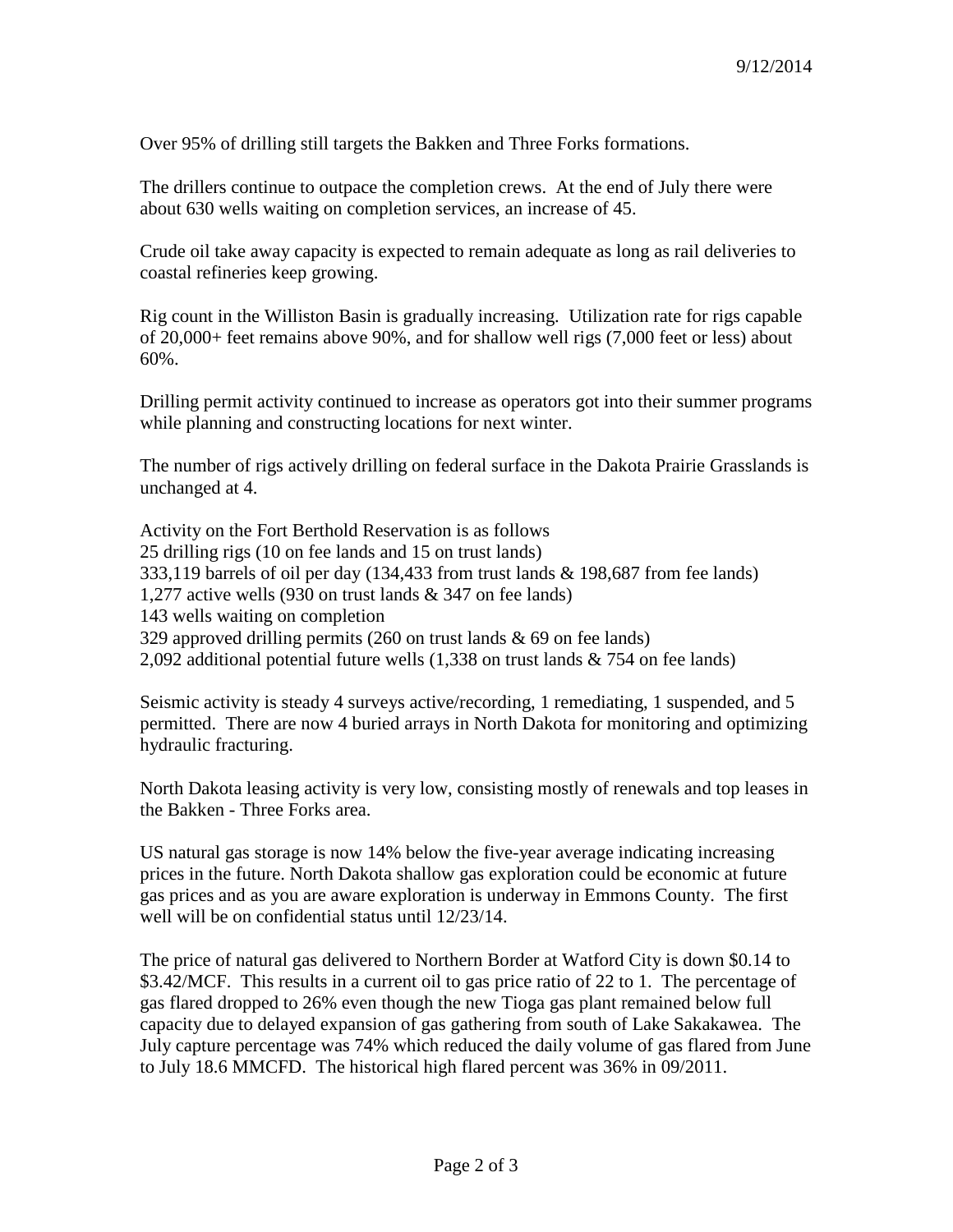Over 95% of drilling still targets the Bakken and Three Forks formations.

The drillers continue to outpace the completion crews. At the end of July there were about 630 wells waiting on completion services, an increase of 45.

Crude oil take away capacity is expected to remain adequate as long as rail deliveries to coastal refineries keep growing.

Rig count in the Williston Basin is gradually increasing. Utilization rate for rigs capable of 20,000+ feet remains above 90%, and for shallow well rigs (7,000 feet or less) about 60%.

Drilling permit activity continued to increase as operators got into their summer programs while planning and constructing locations for next winter.

The number of rigs actively drilling on federal surface in the Dakota Prairie Grasslands is unchanged at 4.

Activity on the Fort Berthold Reservation is as follows 25 drilling rigs (10 on fee lands and 15 on trust lands) 333,119 barrels of oil per day (134,433 from trust lands & 198,687 from fee lands) 1,277 active wells (930 on trust lands & 347 on fee lands) 143 wells waiting on completion 329 approved drilling permits (260 on trust lands & 69 on fee lands) 2,092 additional potential future wells (1,338 on trust lands & 754 on fee lands)

Seismic activity is steady 4 surveys active/recording, 1 remediating, 1 suspended, and 5 permitted. There are now 4 buried arrays in North Dakota for monitoring and optimizing hydraulic fracturing.

North Dakota leasing activity is very low, consisting mostly of renewals and top leases in the Bakken - Three Forks area.

US natural gas storage is now 14% below the five-year average indicating increasing prices in the future. North Dakota shallow gas exploration could be economic at future gas prices and as you are aware exploration is underway in Emmons County. The first well will be on confidential status until 12/23/14.

The price of natural gas delivered to Northern Border at Watford City is down \$0.14 to \$3.42/MCF. This results in a current oil to gas price ratio of 22 to 1. The percentage of gas flared dropped to 26% even though the new Tioga gas plant remained below full capacity due to delayed expansion of gas gathering from south of Lake Sakakawea. The July capture percentage was 74% which reduced the daily volume of gas flared from June to July 18.6 MMCFD. The historical high flared percent was 36% in 09/2011.